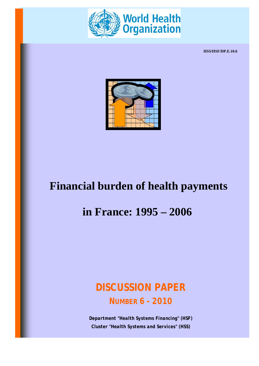

**HSS/HSF/DP.E.10.6**



# **Financial burden of health payments**

## **in France: 1995 – 2006**

## *DISCUSSION PAPER NUMBER 6 - 2010*

*Department "Health Systems Financing" (HSF) Cluster "Health Systems and Services" (HSS)*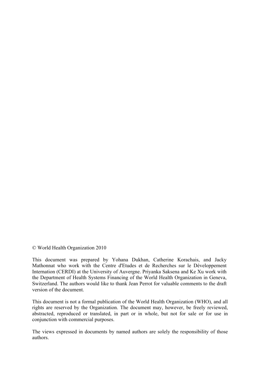© World Health Organization 2010

This document was prepared by Yohana Dukhan, Catherine Korachais, and Jacky Mathonnat who work with the Centre d'Etudes et de Recherches sur le Développement Internation (CERDI) at the University of Auvergne. Priyanka Saksena and Ke Xu work with the Department of Health Systems Financing of the World Health Organization in Geneva, Switzerland. The authors would like to thank Jean Perrot for valuable comments to the draft version of the document.

This document is not a formal publication of the World Health Organization (WHO), and all rights are reserved by the Organization. The document may, however, be freely reviewed, abstracted, reproduced or translated, in part or in whole, but not for sale or for use in conjunction with commercial purposes.

The views expressed in documents by named authors are solely the responsibility of those authors.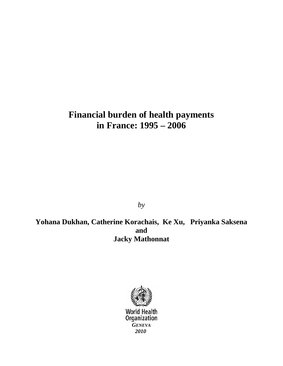## **Financial burden of health payments in France: 1995 – 2006**

*by* 

**Yohana Dukhan, Catherine Korachais, Ke Xu, Priyanka Saksena and Jacky Mathonnat**



**World Health** Organization *GENEVA 2010*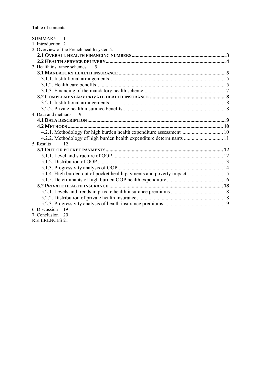Table of contents

| SUMMARY 1                                                              |  |
|------------------------------------------------------------------------|--|
| 1. Introduction 2                                                      |  |
| 2. Overview of the French health system 2                              |  |
|                                                                        |  |
|                                                                        |  |
| 3. Health insurance schemes<br>$\overline{\mathcal{L}}$                |  |
|                                                                        |  |
|                                                                        |  |
|                                                                        |  |
|                                                                        |  |
|                                                                        |  |
|                                                                        |  |
|                                                                        |  |
| 4. Data and methods<br>$\mathbf Q$                                     |  |
|                                                                        |  |
|                                                                        |  |
| 4.2.1. Methodology for high burden health expenditure assessment 10    |  |
| 4.2.2. Methodology of high burden health expenditure determinants  11  |  |
| 5. Results<br>12                                                       |  |
|                                                                        |  |
|                                                                        |  |
|                                                                        |  |
|                                                                        |  |
| 5.1.4. High burden out of pocket health payments and poverty impact 15 |  |
|                                                                        |  |
|                                                                        |  |
|                                                                        |  |
|                                                                        |  |
|                                                                        |  |
| 6. Discussion<br>19                                                    |  |
| 7. Conclusion<br>20                                                    |  |
| <b>REFERENCES 21</b>                                                   |  |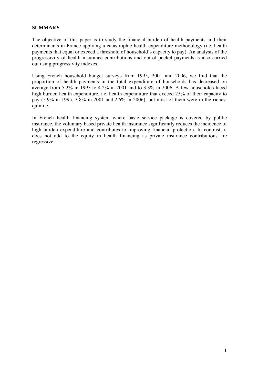#### <span id="page-5-0"></span>**SUMMARY**

The objective of this paper is to study the financial burden of health payments and their determinants in France applying a catastrophic health expenditure methodology (i.e. health payments that equal or exceed a threshold of household's capacity to pay). An analysis of the progressivity of health insurance contributions and out-of-pocket payments is also carried out using progressivity indexes.

Using French household budget surveys from 1995, 2001 and 2006, we find that the proportion of health payments in the total expenditure of households has decreased on average from 5.2% in 1995 to 4.2% in 2001 and to 3.3% in 2006. A few households faced high burden health expenditure, i.e. health expenditure that exceed 25% of their capacity to pay (5.9% in 1995, 3.8% in 2001 and 2.6% in 2006), but most of them were in the richest quintile.

In French health financing system where basic service package is covered by public insurance, the voluntary based private health insurance significantly reduces the incidence of high burden expenditure and contributes to improving financial protection. In contrast, it does not add to the equity in health financing as private insurance contributions are regressive.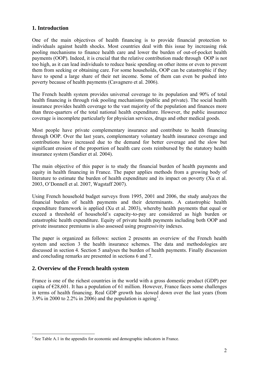## <span id="page-6-0"></span>**1. Introduction**

One of the main objectives of health financing is to provide financial protection to individuals against health shocks. Most countries deal with this issue by increasing risk pooling mechanisms to finance health care and lower the burden of out-of-pocket health payments (OOP). Indeed, it is crucial that the relative contribution made through OOP is not too high, as it can lead individuals to reduce basic spending on other items or even to prevent them from seeking or obtaining care. For some households, OOP can be catastrophic if they have to spend a large share of their net income. Some of them can even be pushed into poverty because of health payments (Cavagnero et al. 2006).

The French health system provides universal coverage to its population and 90% of total health financing is through risk pooling mechanisms (public and private). The social health insurance provides health coverage to the vast majority of the population and finances more than three-quarters of the total national health expenditure. However, the public insurance coverage is incomplete particularly for physician services, drugs and other medical goods.

Most people have private complementary insurance and contribute to health financing through OOP. Over the last years, complementary voluntary health insurance coverage and contributions have increased due to the demand for better coverage and the slow but significant erosion of the proportion of health care costs reimbursed by the statutory health insurance system (Sandier et al. 2004).

The main objective of this paper is to study the financial burden of health payments and equity in health financing in France. The paper applies methods from a growing body of literature to estimate the burden of health expenditure and its impact on poverty (Xu et al. 2003, O'Donnell et al. 2007, Wagstaff 2007).

Using French household budget surveys from 1995, 2001 and 2006, the study analyzes the financial burden of health payments and their determinants. A catastrophic health expenditure framework is applied (Xu et al. 2003), whereby health payments that equal or exceed a threshold of household's capacity-to-pay are considered as high burden or catastrophic health expenditure. Equity of private health payments including both OOP and private insurance premiums is also assessed using progressivity indexes.

The paper is organized as follows: section 2 presents an overview of the French health system and section 3 the health insurance schemes. The data and methodologies are discussed in section 4. Section 5 analyses the burden of health payments. Finally discussion and concluding remarks are presented in sections 6 and 7.

## <span id="page-6-1"></span>**2. Overview of the French health system**

 $\overline{a}$ 

France is one of the richest countries in the world with a gross domestic product (GDP) per capita of  $\epsilon$ 28,601. It has a population of 61 million. However, France faces some challenges in terms of health financing. Real GDP growth has slowed down over the last years (from 3.9% in 2000 to 2.2% in 2006) and the population is ageing<sup>[1](#page-6-2)</sup>.

<span id="page-6-2"></span><sup>&</sup>lt;sup>1</sup> See Table A.1 in the appendix for economic and demographic indicators in France.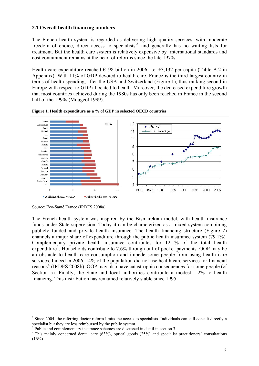#### **2.1 Overall health financing numbers**

The French health system is regarded as delivering high quality services, with moderate freedom of choice, direct access to specialists<sup>[2](#page-7-1)</sup> and generally has no waiting lists for treatment. But the health care system is relatively expensive by international standards and cost containment remains at the heart of reforms since the late 1970s.

Health care expenditure reached  $E198$  billion in 2006, i.e.  $E3,132$  per capita (Table A.2 in Appendix). With 11% of GDP devoted to health care, France is the third largest country in terms of health spending, after the USA and Switzerland (Figure 1), thus ranking second in Europe with respect to GDP allocated to health. Moreover, the decreased expenditure growth that most countries achieved during the 1980s has only been reached in France in the second half of the 1990s (Mougeot 1999).



**Figure 1. Health expenditure as a % of GDP in selected OECD countries** 

 $\overline{a}$ 

The French health system was inspired by the Bismarckian model, with health insurance funds under State supervision. Today it can be characterized as a mixed system combining publicly funded and private health insurance. The health financing structure (Figure 2) channels a major share of expenditure through the public health insurance system (79.1%). Complementary private health insurance contributes for 12.1% of the total health expenditure<sup>[3](#page-7-2)</sup>. Households contribute to 7.6% through out-of-pocket payments. OOP may be an obstacle to health care consumption and impede some people from using health care services. Indeed in 2006, 14% of the population did not use health care services for financial reasons<sup>[4](#page-7-3)</sup> (IRDES 2008b). OOP may also have catastrophic consequences for some people (cf. Section 5). Finally, the State and local authorities contribute a modest 1.2% to health financing. This distribution has remained relatively stable since 1995.

Source: Eco-Santé France (IRDES 2008a).

<span id="page-7-1"></span><span id="page-7-0"></span> $2$  Since 2004, the referring doctor reform limits the access to specialists. Individuals can still consult directly a specialist but they are less reimbursed by the public system.

<span id="page-7-2"></span><sup>3</sup> Public and complementary insurance schemes are discussed in detail in section 3.

<span id="page-7-3"></span><sup>&</sup>lt;sup>4</sup> This mainly concerned dental care (63%), optical goods (25%) and specialist practitioners' consultations  $(16%)$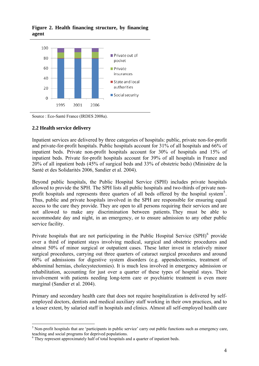

**Figure 2. Health financing structure, by financing agent** 

Source : Eco-Santé France (IRDES 2008a).

#### <span id="page-8-0"></span>**2.2 Health service delivery**

 $\overline{a}$ 

Inpatient services are delivered by three categories of hospitals: public, private non-for-profit and private-for-profit hospitals. Public hospitals account for 31% of all hospitals and 66% of inpatient beds. Private non-profit hospitals account for 30% of hospitals and 15% of inpatient beds. Private for-profit hospitals account for 39% of all hospitals in France and 20% of all inpatient beds (45% of surgical beds and 33% of obstetric beds) (Ministère de la Santé et des Solidarités 2006, Sandier et al. 2004).

Beyond public hospitals, the Public Hospital Service (SPH) includes private hospitals allowed to provide the SPH. The SPH lists all public hospitals and two-thirds of private non-profit hospitals and represents three quarters of all beds offered by the hospital system<sup>[5](#page-8-1)</sup>. Thus, public and private hospitals involved in the SPH are responsible for ensuring equal access to the care they provide. They are open to all persons requiring their services and are not allowed to make any discrimination between patients. They must be able to accommodate day and night, in an emergency, or to ensure admission to any other public service facility.

involvement with patients needing long-term care or psychiatric treatment is even more marginal (Sandier et al. 2004). Private hospitals that are not participating in the Public Hospital Service  $(SPH)^6$  $(SPH)^6$  provide over a third of inpatient stays involving medical, surgical and obstetric procedures and almost 50% of minor surgical or outpatient cases. These latter invest in relatively minor surgical procedures, carrying out three quarters of cataract surgical procedures and around 60% of admissions for digestive system disorders (e.g. appendectomies, treatment of abdominal hernias, cholecystectomies). It is much less involved in emergency admission or rehabilitation, accounting for just over a quarter of these types of hospital stays. Their

Primary and secondary health care that does not require hospitalization is delivered by selfemployed doctors, dentists and medical auxiliary staff working in their own practices, and to a lesser extent, by salaried staff in hospitals and clinics. Almost all self-employed health care

<span id="page-8-1"></span> $<sup>5</sup>$  Non-profit hospitals that are 'participants in public service' carry out public functions such as emergency care,</sup> teaching and social programs for deprived populations.

<span id="page-8-2"></span><sup>&</sup>lt;sup>6</sup> They represent approximately half of total hospitals and a quarter of inpatient beds.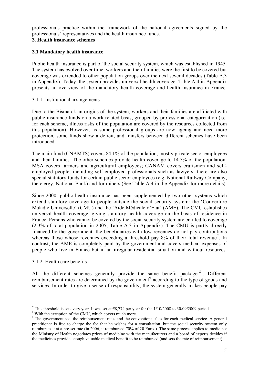professionals practice within the framework of the national agreements signed by the professionals' representatives and the health insurance funds.

## <span id="page-9-0"></span>**3. Health insurance schemes**

## <span id="page-9-1"></span>**3.1 Mandatory health insurance**

in Appendix). Today, the system provides universal health coverage. Table A.4 in Appendix presents an overview of the mandatory health coverage and health insurance in France. Public health insurance is part of the social security system, which was established in 1945. The system has evolved over time: workers and their families were the first to be covered but coverage was extended to other population groups over the next several decades (Table A.3

### <span id="page-9-2"></span>3.1.1. Institutional arrangements

this population). However, as some professional groups are now ageing and need more protection, some funds show a deficit, and transfers between different schemes have been Due to the Bismarckian origins of the system, workers and their families are affiliated with public insurance funds on a work-related basis, grouped by professional categorization (i.e. for each scheme, illness risks of the population are covered by the resources collected from introduced.

special statutory funds for certain public sector employees (e.g. National Railway Company, The main fund (CNAMTS) covers 84.1% of the population, mostly private sector employees and their families. The other schemes provide health coverage to 14.5% of the population: MSA covers farmers and agricultural employees; CANAM covers craftsmen and selfemployed people, including self-employed professionals such as lawyers; there are also the clergy, National Bank) and for miners (See Table A.4 in the Appendix for more details).

contrast, the AME is completely paid by the government and covers medical expenses of people who live in France but in an irregular residential situation and without resources. Since 2000, public health insurance has been supplemented by two other systems which extend statutory coverage to people outside the social security system: the 'Couverture Maladie Universelle' (CMU) and the 'Aide Médicale d'Etat' (AME). The CMU establishes universal health coverage, giving statutory health coverage on the basis of residence in France. Persons who cannot be covered by the social security system are entitled to coverage (2.3% of total population in 2005, Table A.3 in Appendix). The CMU is partly directly financed by the government: the beneficiaries with low revenues do not pay contributions whereas those whose revenues exceeding a threshold pay 8% of their total revenue<sup>[7](#page-9-4)</sup>. In

### <span id="page-9-3"></span>3.1.2. Health care benefits

 $\overline{a}$ 

reimbursement rates are determined by the government $\degree$  according to the type of goods and services. In order to give a sense of responsibility, the system generally makes people pay All the different schemes generally provide the same benefit package  $\delta$ . Different

<span id="page-9-4"></span><sup>&</sup>lt;sup>7</sup> This threshold is set every year. It was set at  $\epsilon$ 8,774 per year for the 1/10/2008 to 30/09/2009 period.

<span id="page-9-5"></span><sup>&</sup>lt;sup>8</sup> With the exception of the CMU, which covers much more.

<span id="page-9-6"></span><sup>&</sup>lt;sup>9</sup> The government sets the reimbursement rates and the conventional fees for each medical service. A general practitioner is free to charge the fee that he wishes for a consultation, but the social security system only reimburses it at a pre-set rate (in 2006, it reimbursed 70% of 20 Euros). The same process applies to medicine: the Ministry of Health negotiates prices of medicine with the manufacturers and a board of experts decides if the medicines provide enough valuable medical benefit to be reimbursed (and sets the rate of reimbursement).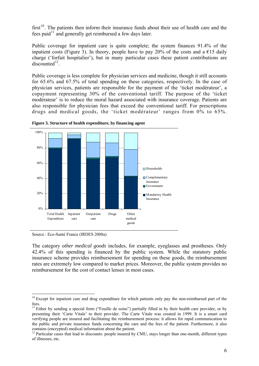first $10$ . The patients then inform their insurance funds about their use of health care and the fees paid $^{11}$  $^{11}$  $^{11}$  and generally get reimbursed a few days later.

Public coverage for inpatient care is quite complete; the system finances 91.4% of the inpatient costs (Figure 3). In theory, people have to pay 20% of the costs and a  $\epsilon$ 15 daily charge ('forfait hospitalier'), but in many particular cases these patient contributions are  $discounted<sup>12</sup>$  $discounted<sup>12</sup>$  $discounted<sup>12</sup>$ .

Public coverage is less complete for physician services and medicine, though it still accounts for 65.6% and 67.5% of total spending on these categories, respectively. In the case of physician services, patients are responsible for the payment of the 'ticket modérateur', a copayment representing 30% of the conventional tariff. The purpose of the 'ticket modérateur' is to reduce the moral hazard associated with insurance coverage. Patients are also responsible for physician fees that exceed the conventional tariff. For prescriptions drugs and medical goods, the 'ticket modérateur' ranges from 0% to 65%.





The category *other medical goods* includes, for example, eyeglasses and prostheses. Only 42.4% of this spending is financed by the public system. While the statutory public insurance scheme provides reimbursement for spending on these goods, the reimbursement rates are extremely low compared to market prices. Moreover, the public system provides no reimbursement for the cost of contact lenses in most cases.

Source : Eco-Santé France (IRDES 2008a)

<span id="page-10-0"></span> $\overline{a}$ <sup>10</sup> Except for inpatient care and drug expenditure for which patients only pay the non-reimbursed part of the fees.

<sup>&</sup>lt;sup>11</sup> Either by sending a special form ("Feuille de soins") partially filled in by their health care provider, or by presenting their 'Carte Vitale' to their provider. The Carte Vitale was created in 1999. It is a smart card verifying people are insured and facilitating the reimbursement process: it allows for rapid communication to the public and private insurance funds concerning the care and the fees of the patient. Furthermore, it also contains (encrypted) medical information about the patient.

<span id="page-10-1"></span><sup>&</sup>lt;sup>12</sup> Particular cases that lead to discounts: people insured by CMU, stays longer than one-month, different types of illnesses, etc.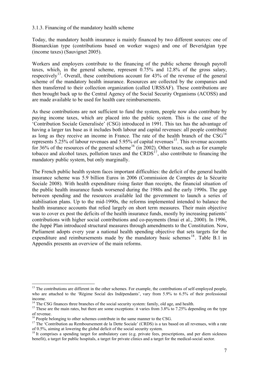#### 3.1.3. Financing of the mandatory health scheme

Today, the mandatory health insurance is mainly financed by two different sources: one of Bismarckian type (contributions based on worker wages) and one of Beveridgian type (income taxes) (Sauvignet 2005).

Workers and employers contribute to the financing of the public scheme through payroll taxes, which, in the general scheme, represent 0.75% and 12.8% of the gross salary, respectively<sup>[13](#page-11-1)</sup>. Overall, these contributions account for  $43\%$  of the revenue of the general scheme of the mandatory health insurance. Resources are collected by the companies and then transferred to their collection organization (called URSSAF). These contributions are then brought back up to the Central Agency of the Social Security Organisms (ACOSS) and are made available to be used for health care reimbursements.

As these contributions are not sufficient to fund the system, people now also contribute by paying income taxes, which are placed into the public system. This is the case of the 'Contribution Sociale Generalisée' (CSG) introduced in 1991. This tax has the advantage of having a larger tax base as it includes both labour and capital revenues: all people contribute as long as they receive an income in France. The rate of the health branch of the  $CSG<sup>14</sup>$  $CSG<sup>14</sup>$  $CSG<sup>14</sup>$ represents  $5.25\%$  of labour revenues and  $5.95\%$  of capital revenues<sup>[15](#page-11-3)</sup>. This revenue accounts for 36% of the resources of the general scheme<sup>[16](#page-11-4)</sup> (in 2002). Other taxes, such as for example tobacco and alcohol taxes, pollution taxes and the  $CRDS<sup>17</sup>$  $CRDS<sup>17</sup>$  $CRDS<sup>17</sup>$ , also contribute to financing the mandatory public system, but only marginally.

The French public health system faces important difficulties: the deficit of the general health insurance scheme was 5.9 billion Euros in 2006 (Commission de Comptes de la Sécurite Sociale 2008). With health expenditure rising faster than receipts, the financial situation of the public health insurance funds worsened during the 1980s and the early 1990s. The gap between spending and the resources available led the government to launch a series of stabilisation plans. Up to the mid-1990s, the reforms implemented intended to balance the health insurance accounts that relied largely on short term measures. Their main objective was to cover ex post the deficits of the health insurance funds, mostly by increasing patients' contributions with higher social contributions and co-payments (Imai et al., 2000). In 1996, the Juppé Plan introduced structural measures through amendments to the Constitution. Now, Parliament adopts every year a national health spending objective that sets targets for the expenditure and reimbursements made by the mandatory basic schemes <sup>[18](#page-11-6)</sup>. Table B.1 in Appendix presents an overview of the main reforms.

<span id="page-11-0"></span> $\overline{a}$ 

<span id="page-11-1"></span><sup>&</sup>lt;sup>13</sup> The contributions are different in the other schemes. For example, the contributions of self-employed people, who are attached to the 'Régime Social des Indépendants', vary from 5.9% to 6.5% of their professional

income.<br><sup>14</sup> The CSG finances three branches of the social security system: family, old age, and health.

<span id="page-11-3"></span><span id="page-11-2"></span><sup>&</sup>lt;sup>15</sup> These are the main rates, but there are some exceptions: it varies from  $3.8\%$  to 7.25% depending on the type of revenue.

<sup>&</sup>lt;sup>16</sup> People belonging to other schemes contribute in the same manner to the CSG.

<span id="page-11-5"></span><span id="page-11-4"></span><sup>&</sup>lt;sup>17</sup> The 'Contribution au Remboursement de la Dette Sociale' (CRDS) is a tax based on all revenues, with a rate of 0.5%, aiming at lowering the global deficit of the social security system. 18 It comprises a spending target for ambulatory care (e.g. private fees, prescriptions, and per diem sickness

<span id="page-11-6"></span>benefit), a target for public hospitals, a target for private clinics and a target for the medical-social sector.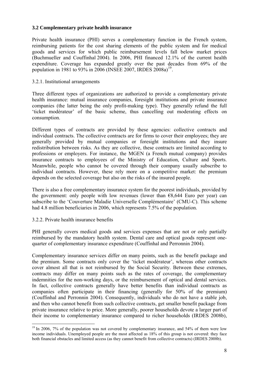#### **3.2 Complementary private health insurance**

Private health insurance (PHI) serves a complementary function in the French system, reimbursing patients for the cost sharing elements of the public system and for medical goods and services for which public reimbursement levels fall below market prices (Buchmueller and Couffinhal 2004). In 2006, PHI financed 12.1% of the current health expenditure. Coverage has expanded greatly over the past decades from 69% of the population in [19](#page-12-3)81 to 93% in 2006 (INSEE 2007, IRDES 2008a)<sup>19</sup>.

#### <span id="page-12-1"></span>3.2.1. Institutional arrangements

Three different types of organizations are authorized to provide a complementary private health insurance: mutual insurance companies, foresight institutions and private insurance companies (the latter being the only profit-making type). They generally refund the full 'ticket modérateur' of the basic scheme, thus cancelling out moderating effects on consumption.

Different types of contracts are provided by these agencies: collective contracts and individual contracts. The collective contracts are for firms to cover their employees; they are generally provided by mutual companies or foresight institutions and they insure redistribution between risks. As they are collective, these contracts are limited according to professions or employers. For instance, the MGEN (a French mutual company) provides insurance contracts to employees of the Ministry of Education, Culture and Sports. Meanwhile, people who cannot be covered through their company usually subscribe to individual contracts. However, these rely more on a competitive market: the premium depends on the selected coverage but also on the risks of the insured people.

There is also a free complementary insurance system for the poorest individuals, provided by the government: only people with low revenues (lower than  $\epsilon$ 8,644 Euro per year) can subscribe to the 'Couverture Maladie Universelle Complémentaire' (CMU-C). This scheme had 4.8 million beneficiaries in 2006, which represents 7.5% of the population.

### <span id="page-12-2"></span>3.2.2. Private health insurance benefits

 $\overline{a}$ 

PHI generally covers medical goods and services expenses that are not or only partially reimbursed by the mandatory health system. Dental care and optical goods represent onequarter of complementary insurance expenditure (Couffinhal and Perronnin 2004).

<span id="page-12-0"></span>Complementary insurance services differ on many points, such as the benefit package and the premium. Some contracts only cover the 'ticket modérateur', whereas other contracts cover almost all that is not reimbursed by the Social Security. Between these extremes, contracts may differ on many points such as the rates of coverage, the complementary indemnities for the non-working days, or the reimbursement of optical and dental services. In fact, collective contracts generally have better benefits than individual contracts as companies often participate in their financing (generally for 50% of the premium) (Couffinhal and Perronnin 2004). Consequently, individuals who do not have a stable job, and then who cannot benefit from such collective contracts, get smaller benefit package from private insurance relative to price. More generally, poorer households devote a larger part of their income to complementary insurance compared to richer households (IRDES 2008b),

<span id="page-12-3"></span><sup>&</sup>lt;sup>19</sup> In 2006, 7% of the population was not covered by complementary insurance, and 54% of them were low income individuals. Unemployed people are the most affected as 18% of this group is not covered: they face both financial obstacles and limited access (as they cannot benefit from collective contracts) (IRDES 2008b).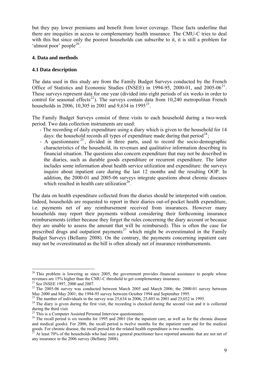but they pay lower premiums and benefit from lower coverage. These facts underline that there are inequities in access to complementary health insurance. The CMU-C tries to deal with this but since only the poorest households can subscribe to it, it is still a problem for 'almost poor' people<sup>[20](#page-13-2)</sup>.

#### <span id="page-13-0"></span>**4. Data and methods**

### <span id="page-13-1"></span>**4.1 Data description**

The data used in this study are from the Family Budget Surveys conducted by the French Office of Statistics and Economic Studies (INSEE) in 1994-95, 2000-01, and 2005-06<sup>[21](#page-13-3)</sup>. These surveys represent data for one year (divided into eight periods of six weeks in order to control for seasonal effects<sup>[22](#page-13-4)</sup>). The surveys contain data from  $10,240$  metropolitan French households in 2006, 10,305 in 2001 and 9,634 in 1995<sup>[23](#page-13-5)</sup>.

The Family Budget Surveys consist of three visits to each household during a two-week period. Two data collection instruments are used:

- The recording of daily expenditure using a diary which is given to the household for 14 days: the household records all types of expenditure made during that period<sup>[24](#page-13-6)</sup>;
- A questionnaire  $2^5$ , divided in three parts, used to record the socio-demographic characteristics of the household, its revenues and qualitative information describing its financial situation. The questions also concern expenditure that may not be described in the diaries, such as durable goods expenditure or recurrent expenditure. The latter includes some information about health service utilization and expenditure: the surveys inquire about inpatient care during the last 12 months and the resulting OOP. In addition, the 2000-01 and 2005-06 surveys integrate questions about chronic diseases which resulted in health care utilization<sup>[26](#page-13-8)</sup>.

The data on health expenditure collected from the diaries should be interpreted with caution. Indeed, households are requested to report in their diaries out-of-pocket health expenditure, i.e. payments net of any reimbursement received from insurances. However many households may report their payments without considering their forthcoming insurance reimbursements (either because they forget the rules concerning the diary account or because they are unable to assess the amount that will be reimbursed). This is often the case for prescribed drugs and outpatient payments<sup>[27](#page-13-9)</sup> which might be overestimated in the Family Budget Surveys (Bellamy 2008). On the contrary, the payments concerning inpatient care may not be overestimated as the bill is often already net of insurance reimbursements.

 $\overline{a}$ 

<span id="page-13-2"></span> $20^{\circ}$  This problem is lowering as since 2005, the government provides financial assistance to people whose revenues are 15% higher than the CMU-C threshold to get complementary insurance.

<sup>&</sup>lt;sup>21</sup> See INSEE 1997, 2000 and 2007.

<span id="page-13-4"></span><span id="page-13-3"></span> $22$  The 2005-06 survey was conducted between March 2005 and March 2006; the 2000-01 survey between May 2000 and May 2001; the 1994-95 survey between October 1994 and September 1995.

<sup>&</sup>lt;sup>23</sup> The number of individuals in the survey was  $25,634$  in 2006,  $25,803$  in 2001 and 25,032 in 1995.

<span id="page-13-6"></span><span id="page-13-5"></span><sup>&</sup>lt;sup>24</sup> The diary is given during the first visit, the recording is checked during the second visit and it is collected during the third visit.

<sup>&</sup>lt;sup>25</sup> This is a Computer Assisted Personal Interview questionnaire.

<span id="page-13-8"></span><span id="page-13-7"></span><sup>&</sup>lt;sup>26</sup> The recall period is six months for 1995 and  $2001$  (for the inpatient care, as well as for the chronic disease and medical goods). For 2006, the recall period is twelve months for the inpatient care and for the medical goods. For chronic disease, the recall period for the related health expenditure is two months.

<span id="page-13-9"></span>At least 70% of the households who had seen a general practitioner have reported amounts that are not net of any insurance in the 2006 survey (Bellamy 2008).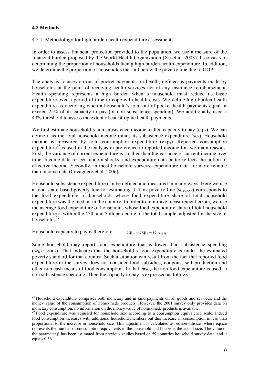## <span id="page-14-0"></span>**4.2 Methods**

<span id="page-14-1"></span>4.2.1. Methodology for high burden health expenditure assessment

In order to assess financial protection provided to the population, we use a measure of the financial burden proposed by the World Health Organization (Xu et al. 2003). It consists of determining the proportion of households facing high burden health expenditure. In addition, we determine the proportion of households that fall below the poverty line due to OOP.

The analysis focuses on out-of-pocket payments on health, defined as payments made by households at the point of receiving health services net of any insurance reimbursement. Health spending represents a high burden when a household must reduce its basic expenditure over a period of time to cope with health costs. We define high burden health expenditure as occurring when a household's total out-of-pocket health payments equal or exceed 25% of its capacity to pay (or non subsistence spending). We additionally used a 40% threshold to assess the extent of catastrophic health payments.

We first estimate household's non subsistence income, called capacity to pay  $(ctp_h)$ . We can define it as the total household income minus its subsistence expenditure ( $se<sub>h</sub>$ ). Household income is measured by total consumption expenditure  $(exp<sub>h</sub>)$ . Reported consumption expenditure<sup>[28](#page-14-2)</sup> is used in the analysis in preference to reported income for two main reasons. First, the variance of current expenditure is smaller than the variance of current income over time. Income data reflect random shocks, and expenditure data better reflects the notion of effective income. Secondly, in most household surveys, expenditure data are more reliable than income data (Cavagnero et al. 2006).

Household subsistence expenditure can be defined and measured in many ways. Here we use a food share based poverty line for estimating it. This poverty line  $(se_{45-55h})$  corresponds to the food expenditure of households whose food expenditure share of total household expenditure was the median in the country. In order to minimize measurement errors, we use the average food expenditure of households whose food expenditure share of total household expenditure is within the 45th and 55th percentile of the total sample, adjusted for the size of households $^{29}$  $^{29}$  $^{29}$ .

Household capacity to pay is therefore:  $\text{ctp}_h = \exp_h - \text{se}_{45-55h}$ 

Some household may report food expenditure that is lower than subsistence spending  $(se<sub>h</sub> > food<sub>h</sub>)$ . That indicates that the household's food expenditure is under the estimated poverty standard for that country. Such a situation can result from the fact that reported food expenditure in the survey does not consider food subsidies, coupons, self production and other non cash means of food consumption. In that case, the non food expenditure is used as non subsistence spending. Then the capacity to pay is expressed as follows:

<span id="page-14-2"></span> $\overline{a}$ <sup>28</sup> Household expenditure comprises both monetary and in kind payments on all goods and services, and the money value of the consumption of home-made products. However, the 2001 survey only provides data on monetary consumption; no information on the money value of home-made products is available.

<span id="page-14-3"></span><sup>&</sup>lt;sup>29</sup> Food expenditure was adjusted for household size according to a consumption equivalence scale. Indeed food consumption increases with additional household members but this increase in consumption is less than proportional to the increase in household size. This adjustment is calculated as: eqsize=hhsize $\beta$  where eqsize represents the number of consumption equivalents in the household and hhsize is the actual size. The value of the parameter  $\beta$  has been estimated from previous studies based on 59 countries household survey data, and it equals 0.56.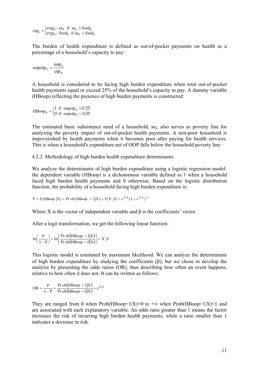$\left\{\color{red}\right\}$  $=\begin{cases} \exp_h - s e_h & \text{if } s e_h \leq \text{food}_h \\ \exp_h - \text{food}_h & \text{if } s e_h > \text{food}_h \end{cases}$  $h = \begin{cases} exp_h - se_h & \text{if } se_h \leq 100a_h \\ exp_h - food_h & \text{if } se_h > food \end{cases}$  $\text{ctp}_h = \begin{cases} \n\text{exp}_h - \text{se}_h & \text{if } \text{se}_h \leq \text{food} \\ \n\text{exp}_h - \text{food}_h & \text{if } \text{se}_h > \text{foo} \n\end{cases}$ 

The burden of health expenditure is defined as out-of-pocket payments on health as a percentage of a household's capacity to pay:

$$
ooptp_h = \frac{oop_h}{ctp_h}
$$

A household is considered to be facing high burden expenditure when total out-of-pocket health payments equal or exceed 25% of the household's capacity to pay. A dummy variable (HBoop) reflecting the presence of high burden payments is constructed:

 $\begin{cases} \end{cases}$  $=\begin{cases} 1 & \text{if } \text{ooptp}_h \geq 0.25 \\ 0 & \text{if } \text{ooptp}_h < 0.25 \end{cases}$ h  $HBoop<sub>h</sub> = \begin{cases} 1 & \text{if } ooptp_h \\ 0 & \text{if } ooptp_h \end{cases}$ 

The estimated basic subsistence need of a household, seh, also serves as poverty line for analyzing the poverty impact of out-of-pocket health payments. A non-poor household is impoverished by health payments when it becomes poor after paying for health services. This is when a household's expenditure net of OOP falls below the household poverty line.

<span id="page-15-0"></span>4.2.2. Methodology of high burden health expenditure determinants

We analyze the determinants of high burden expenditure using a logistic regression model: the dependent variable (HBoop) is a dichotomous variable defined as 1 when a household faced high burden health payments and 0 otherwise. Based on the logistic distribution function, the probability of a household facing high burden expenditure is:

$$
P = E(H\text{Boop }|X) = Pr \circ b(H\text{Boop } = 1|X) = F(X' \beta) = e^{X'\beta}(1 + e^{X'\beta})^{-1}
$$

Where X is the vector of independent variable and  $\beta$  is the coefficients' vector.

After a logit transformation, we get the following linear function:

$$
\ln\left(\frac{P}{1-P}\right) = \ln\left(\frac{\text{Pr ob(HBoop = 1|X)}}{\text{Pr ob(HBoop = 0|X)}}\right) = X'\beta
$$

This logistic model is estimated by maximum likelihood. We can analyze the determinants of high burden expenditure by studying the coefficients  $(\beta)$ , but we chose to develop the analysis by presenting the odds ratios (OR), thus describing how often an event happens, relative to how often it does not. It can be written as follows:

$$
OR = \frac{P}{1-P} = \frac{Pr \, ob(HBoop = 1|X)}{Pr \, ob(HBoop = 0|X)} = e^{X^{\prime}\beta}
$$

They are ranged from 0 when Prob(HBoop=1|X)=0 to  $+\infty$  when Prob(HBoop=1|X)=1 and are associated with each explanatory variable. An odds ratio greater than 1 means the factor increases the risk of incurring high burden health payments, while a ratio smaller than 1 indicates a decrease in risk.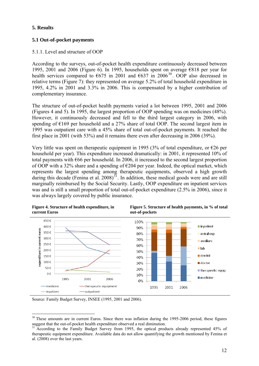## <span id="page-16-0"></span>**5. Results**

## <span id="page-16-1"></span>**5.1 Out-of-pocket payments**

## <span id="page-16-2"></span>5.1.1. Level and structure of OOP

According to the surveys, out-of-pocket health expenditure continuously decreased between 1995, 2001 and 2006 (Figure 6). In 1995, households spent on average  $\epsilon$ 818 per year for health services compared to  $\epsilon$ 675 in 2001 and  $\epsilon$ 637 in 2006<sup>[30](#page-16-3)</sup>. OOP also decreased in relative terms (Figure 7): they represented on average 5.2% of total household expenditure in 1995, 4.2% in 2001 and 3.3% in 2006. This is compensated by a higher contribution of complementary insurance.

The structure of out-of-pocket health payments varied a lot between 1995, 2001 and 2006 (Figures 4 and 5). In 1995, the largest proportion of OOP spending was on medicines (48%). However, it continuously decreased and fell to the third largest category in 2006, with spending of  $E169$  per household and a 27% share of total OOP. The second largest item in 1995 was outpatient care with a 45% share of total out-of-pocket payments. It reached the first place in 2001 (with 53%) and it remains there even after decreasing in 2006 (39%).

Very little was spent on therapeutic equipment in 1995 (3% of total expenditure, or  $\epsilon$ 26 per household per year). This expenditure increased dramatically: in 2001, it represented 10% of total payments with  $\epsilon$ 66 per household. In 2006, it increased to the second largest proportion of OOP with a 32% share and a spending of  $\epsilon$ 204 per year. Indeed, the optical market, which represents the largest spending among therapeutic equipments, observed a high growth during this decade (Fenina et al.  $2008$ )<sup>[31](#page-16-4)</sup>. In addition, these medical goods were and are still marginally reimbursed by the Social Security. Lastly, OOP expenditure on inpatient services was and is still a small proportion of total out-of-pocket expenditure (2.5% in 2006), since it was always largely covered by public insurance.



**Figure 5. Structure of health payments, in % of total** 

Source: Family Budget Survey, INSEE (1995, 2001 and 2006).

<span id="page-16-3"></span> $\overline{a}$ <sup>30</sup> These amounts are in current Euros. Since there was inflation during the 1995-2006 period, these figures suggest that the out-of-pocket health expenditure observed a real diminution.

<span id="page-16-4"></span><sup>31</sup> According to the Family Budget Survey from 1995, the optical products already represented 45% of therapeutic equipment expenditure. Available data do not allow quantifying the growth mentioned by Fenina et al. (2008) over the last years.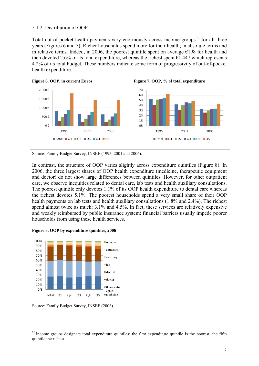### <span id="page-17-0"></span>5.1.2. Distribution of OOP

Total out-of-pocket health payments vary enormously across income groups<sup>[32](#page-17-1)</sup> for all three years (Figures 6 and 7). Richer households spend more for their health, in absolute terms and in relative terms. Indeed, in 2006, the poorest quintile spent on average  $E198$  for health and then devoted 2.6% of its total expenditure, whereas the richest spent  $\epsilon$ 1,447 which represents 4.2% of its total budget. These numbers indicate some form of progressivity of out-of-pocket health expenditure.



Source: Family Budget Survey, INSEE (1995, 2001 and 2006).

In contrast, the structure of OOP varies slightly across expenditure quintiles (Figure 8). In 2006, the three largest shares of OOP health expenditure (medicine, therapeutic equipment and doctor) do not show large differences between quintiles. However, for other outpatient care, we observe inequities related to dental care, lab tests and health auxiliary consultations. The poorest quintile only devotes 1.1% of its OOP health expenditure to dental care whereas the richest devotes 5.1%. The poorest households spend a very small share of their OOP health payments on lab tests and health auxiliary consultations (1.8% and 2.4%). The richest spend almost twice as much: 3.1% and 4.5%. In fact, these services are relatively expensive and weakly reimbursed by public insurance system: financial barriers usually impede poorer households from using these health services.

**Figure 8. OOP by expenditure quintiles, 2006** 



Source: Family Budget Survey, INSEE (2006).

 $\overline{a}$ 

<span id="page-17-1"></span><sup>&</sup>lt;sup>32</sup> Income groups designate total expenditure quintiles: the first expenditure quintile is the poorest; the fifth quintile the richest.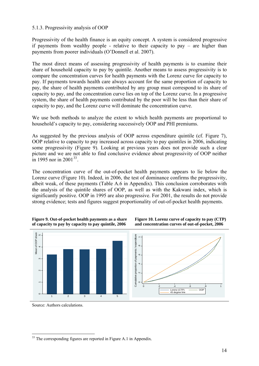#### 5.1.3. Progressivity analysis of OOP

Progressivity of the health finance is an equity concept. A system is considered progressive if payments from wealthy people - relative to their capacity to pay – are higher than payments from poorer individuals (O'Donnell et al. 2007).

The most direct means of assessing progressivity of health payments is to examine their share of household capacity to pay by quintile. Another means to assess progressivity is to compare the concentration curves for health payments with the Lorenz curve for capacity to pay. If payments towards health care always account for the same proportion of capacity to pay, the share of health payments contributed by any group must correspond to its share of capacity to pay, and the concentration curve lies on top of the Lorenz curve. In a progressive system, the share of health payments contributed by the poor will be less than their share of capacity to pay, and the Lorenz curve will dominate the concentration curve.

We use both methods to analyze the extent to which health payments are proportional to household's capacity to pay, considering successively OOP and PHI premiums.

As suggested by the previous analysis of OOP across expenditure quintile (cf. Figure 7), OOP relative to capacity to pay increased across capacity to pay quintiles in 2006, indicating some progressivity (Figure 9). Looking at previous years does not provide such a clear picture and we are not able to find conclusive evidence about progressivity of OOP neither in 1995 nor in 2001<sup>[33](#page-18-1)</sup>

The concentration curve of the out-of-pocket health payments appears to lie below the Lorenz curve (Figure 10). Indeed, in 2006, the test of dominance confirms the progressivity, albeit weak, of these payments (Table A.6 in Appendix). This conclusion corroborates with the analysis of the quintile shares of OOP, as well as with the Kakwani index, which is significantly positive. OOP in 1995 are also progressive. For 2001, the results do not provide strong evidence; tests and figures suggest proportionality of out-of-pocket health payments.







<span id="page-18-0"></span>Source: Authors calculations.

 $\overline{a}$ 

<span id="page-18-1"></span> $33$  The corresponding figures are reported in Figure A.1 in Appendix.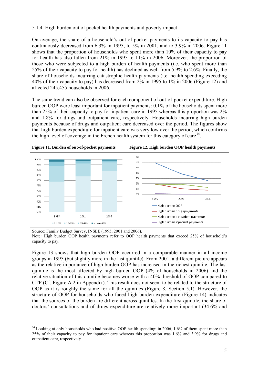### <span id="page-19-0"></span>5.1.4. High burden out of pocket health payments and poverty impact

On average, the share of a household's out-of-pocket payments to its capacity to pay has continuously decreased from 6.3% in 1995, to 5% in 2001, and to 3.9% in 2006. Figure 11 shows that the proportion of households who spent more than 10% of their capacity to pay for health has also fallen from 21% in 1995 to 11% in 2006. Moreover, the proportion of those who were subjected to a high burden of health payments (i.e. who spent more than 25% of their capacity to pay for health) has declined as well from 5.9% to 2.6%. Finally, the share of households incurring catastrophic health payments (i.e. health spending exceeding 40% of their capacity to pay) has decreased from 2% in 1995 to 1% in 2006 (Figure 12) and affected 245,455 households in 2006.

The same trend can also be observed for each component of out-of-pocket expenditure. High burden OOP were least important for inpatient payments: 0.1% of the households spent more than 25% of their capacity to pay for inpatient care in 1995 whereas this proportion was 2% and 1.8% for drugs and outpatient care, respectively. Households incurring high burden payments because of drugs and outpatient care decreased over the period. The figures show that high burden expenditure for inpatient care was very low over the period, which confirms the high level of coverage in the French health system for this category of care<sup>[34](#page-19-1)</sup>.





Source: Family Budget Survey, INSEE (1995, 2001 and 2006).

 $\overline{a}$ 

Note: High burden OOP health payments refer to OOP health payments that exceed 25% of household's capacity to pay.

Figure 13 shows that high burden OOP occurred in a comparable manner in all income groups in 1995 (but slightly more in the last quintile). From 2001, a different picture appears as the relative importance of high burden OOP has increased in the richest quintile. The last quintile is the most affected by high burden OOP (4% of households in 2006) and the relative situation of this quintile becomes worse with a 40% threshold of OOP compared to CTP (Cf. Figure A.2 in Appendix). This result does not seem to be related to the structure of OOP as it is roughly the same for all the quintiles (Figure 8, Section 5.1). However, the structure of OOP for households who faced high burden expenditure (Figure 14) indicates that the sources of the burden are different across quintiles. In the first quintile, the share of doctors' consultations and of drugs expenditure are relatively more important (34.6% and

<span id="page-19-1"></span><sup>&</sup>lt;sup>34</sup> Looking at only households who had positive OOP health spending: in 2006, 1.6% of them spent more than 25% of their capacity to pay for inpatient care whereas this proportion was 1.6% and 3.9% for drugs and outpatient care, respectively.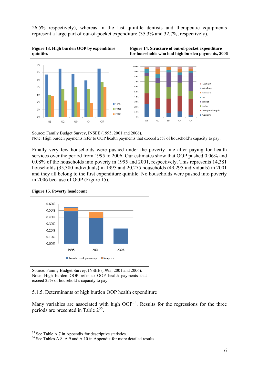26.5% respectively), whereas in the last quintile dentists and therapeutic equipments represent a large part of out-of-pocket expenditure (35.3% and 32.7%, respectively).







Source: Family Budget Survey, INSEE (1995, 2001 and 2006). Note: High burden payments refer to OOP health payments that exceed 25% of household's capacity to pay.

Finally very few households were pushed under the poverty line after paying for health services over the period from 1995 to 2006. Our estimates show that OOP pushed 0.06% and 0.08% of the households into poverty in 1995 and 2001, respectively. This represents 14,381 households (35,380 individuals) in 1995 and 20,275 households (49,295 individuals) in 2001 and they all belong to the first expenditure quintile. No households were pushed into poverty in 2006 because of OOP (Figure 15).





Source: Family Budget Survey, INSEE (1995, 2001 and 2006). Note: High burden OOP refer to OOP health payments that exceed 25% of household's capacity to pay.

#### <span id="page-20-0"></span>5.1.5. Determinants of high burden OOP health expenditure

Many variables are associated with high  $OOP<sup>35</sup>$  $OOP<sup>35</sup>$  $OOP<sup>35</sup>$ . Results for the regressions for the three periods are presented in Table  $2^{36}$  $2^{36}$  $2^{36}$ .

 $\overline{a}$ 

<span id="page-20-1"></span><sup>&</sup>lt;sup>35</sup> See Table A.7 in Appendix for descriptive statistics.

<span id="page-20-2"></span><sup>&</sup>lt;sup>36</sup> See Tables A.8, A.9 and A.10 in Appendix for more detailed results.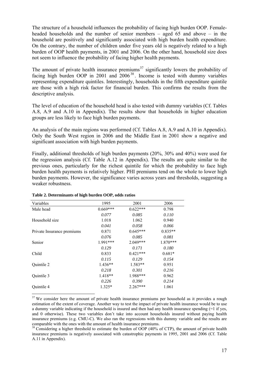The structure of a household influences the probability of facing high burden OOP. Femaleheaded households and the number of senior members – aged 65 and above – in the household are positively and significantly associated with high burden health expenditure. On the contrary, the number of children under five years old is negatively related to a high burden of OOP health payments, in 2001 and 2006. On the other hand, household size does not seem to influence the probability of facing higher health payments.

The amount of private health insurance premiums<sup>[37](#page-21-0)</sup> significantly lowers the probability of facing high burden OOP in 2001 and 2006<sup>[38](#page-21-1)</sup>. Income is tested with dummy variables representing expenditure quintiles. Interestingly, households in the fifth expenditure quintile are those with a high risk factor for financial burden. This confirms the results from the descriptive analysis.

The level of education of the household head is also tested with dummy variables (Cf. Tables A.8, A.9 and A.10 in Appendix). The results show that households in higher education groups are less likely to face high burden payments.

An analysis of the main regions was performed (Cf. Tables A.8, A.9 and A.10 in Appendix). Only the South West region in 2006 and the Middle East in 2001 show a negative and significant association with high burden payments.

Finally, additional thresholds of high burden payments (20%, 30% and 40%) were used for the regression analysis (Cf. Table A.12 in Appendix). The results are quite similar to the previous ones, particularly for the richest quintile for which the probability to face high burden health payments is relatively higher. PHI premiums tend on the whole to lower high burden payments. However, the significance varies across years and thresholds, suggesting a weaker robustness.

| Variables                  | 1995       | 2001       | 2006       |
|----------------------------|------------|------------|------------|
| Male head                  | $0.669***$ | $0.622***$ | 0.798      |
|                            | 0.077      | 0.085      | 0.110      |
| Household size             | 1.018      | 1.062      | 0.940      |
|                            | 0.041      | 0.058      | 0.066      |
| Private Insurance premiums | 0.871      | $0.645***$ | $0.835**$  |
|                            | 0.076      | 0.085      | 0.081      |
| Senior                     | $1.991***$ | $2.049***$ | $1.870***$ |
|                            | 0.129      | 0.171      | 0.180      |
| Child                      | 0.833      | $0.421***$ | $0.681*$   |
|                            | 0.115      | 0.129      | 0.154      |
| Quintile 2                 | $1.436**$  | $1.583**$  | 0.951      |
|                            | 0.218      | 0.301      | 0.216      |
| Quintile 3                 | $1.418**$  | 1.988***   | 0.962      |
|                            | 0.226      | 0.390      | 0.214      |
| Quintile 4                 | $1.325*$   | $2.267***$ | 1.061      |
|                            |            |            |            |

#### **Table 2. Determinants of high burden OOP, odds ratios**

<span id="page-21-0"></span> $37$  We consider here the amount of private health insurance premiums per household as it provides a rough estimation of the extent of coverage. Another way to test the impact of private health insurance would be to use a dummy variable indicating if the household is insured and then had any health insurance spending (=1 if yes, and 0 otherwise). These two variables don't take into account households insured without paying health insurance premiums (e.g. CMU-C). We also ran the regressions with this dummy variable and the results are comparable with the ones with the amount of health insurance premiums.

<span id="page-21-1"></span> $38$  Considering a higher threshold to estimate the burden of OOP (40% of CTP), the amount of private health insurance premiums is negatively associated with catastrophic payments in 1995, 2001 and 2006 (Cf. Table A.11 in Appendix).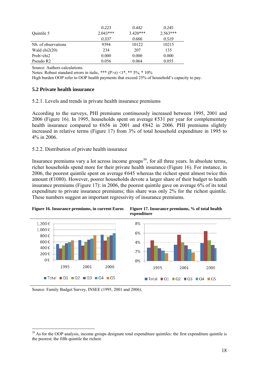|                     | 0.223      | 0.442      | 0.245      |
|---------------------|------------|------------|------------|
| Ouintile 5          | $2.043***$ | $3.420***$ | $2.563***$ |
|                     | 0.337      | 0.666      | 0.519      |
| Nb. of observations | 9394       | 10122      | 10215      |
| Wald $chi2(20)$     | 234        | 207        | 135        |
| Prob $>$ chi2       | 0.000      | 0.000      | 0.000      |
| Pseudo R2           | 0.056      | 0.064      | 0.055      |

Source: Authors calculations.

Notes: Robust standard errors in italic, \*\*\*  $(P>z)$  <1\*, \*\* 5%, \* 10%

High burden OOP refer to OOP health payments that exceed 25% of household's capacity to pay.

#### <span id="page-22-0"></span>**5.2 Private health insurance**

<span id="page-22-1"></span>5.2.1. Levels and trends in private health insurance premiums

According to the surveys, PHI premiums continuously increased between 1995, 2001 and 2006 (Figure 16). In 1995, households spent on average  $\epsilon$ 531 per year for complementary health insurance compared to  $\epsilon$ 656 in 2001 and  $\epsilon$ 842 in 2006. PHI premiums slightly increased in relative terms (Figure 17) from 3% of total household expenditure in 1995 to 4% in 2006.

#### <span id="page-22-2"></span>5.2.2. Distribution of private health insurance

Insurance premiums vary a lot across income groups<sup>[39](#page-22-3)</sup>, for all three years. In absolute terms, richer households spend more for their private health insurance (Figure 16). For instance, in 2006, the poorest quintile spent on average  $\epsilon$ 645 whereas the richest spent almost twice this amount ( $E1080$ ). However, poorer households devote a larger share of their budget to health insurance premiums (Figure 17): in 2006, the poorest quintile gave on average 6% of its total expenditure to private insurance premiums; this share was only 2% for the richest quintile. These numbers suggest an important regressivity of insurance premiums.



Source: Family Budget Survey, INSEE (1995, 2001 and 2006).

 $\overline{a}$ 

<span id="page-22-3"></span> $39$  As for the OOP analysis, income groups designate total expenditure quintiles: the first expenditure quintile is the poorest; the fifth quintile the richest.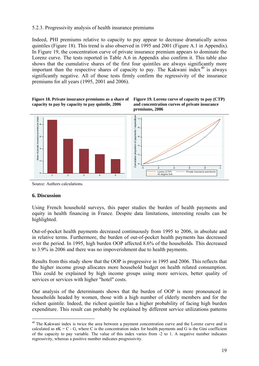### <span id="page-23-0"></span>5.2.3. Progressivity analysis of health insurance premiums

Indeed, PHI premiums relative to capacity to pay appear to decrease dramatically across quintiles (Figure 18). This trend is also observed in 1995 and 2001 (Figure A.1 in Appendix). In Figure 19, the concentration curve of private insurance premium appears to dominate the Lorenz curve. The tests reported in Table A.6 in Appendix also confirm it. This table also shows that the cumulative shares of the first four quintiles are always significantly more important than the respective shares of capacity to pay. The Kakwani index<sup>[40](#page-23-2)</sup> is always significantly negative. All of those tests firmly confirm the regressivity of the insurance premiums for all years (1995, 2001 and 2006).







Source: Authors calculations.

#### <span id="page-23-1"></span>**6. Discussion**

 $\overline{a}$ 

Using French household surveys, this paper studies the burden of health payments and equity in health financing in France. Despite data limitations, interesting results can be highlighted.

Out-of-pocket health payments decreased continuously from 1995 to 2006, in absolute and in relative terms. Furthermore, the burden of out-of-pocket health payments has decreased over the period. In 1995, high burden OOP affected 8.6% of the households. This decreased to 3.9% in 2006 and there was no impoverishment due to health payments.

Results from this study show that the OOP is progressive in 1995 and 2006. This reflects that the higher income group allocates more household budget on health related consumption. This could be explained by high income groups using more services, better quality of services or services with higher "hotel" costs.

Our analysis of the determinants shows that the burden of OOP is more pronounced in households headed by women, those with a high number of elderly members and for the richest quintile. Indeed, the richest quintile has a higher probability of facing high burden expenditure. This result can probably be explained by different service utilizations patterns

<span id="page-23-2"></span><sup>&</sup>lt;sup>40</sup> The Kakwani index is twice the area between a payment concentration curve and the Lorenz curve and is calculated as  $\pi K = C - G$ , where C is the concentration index for health payments and G is the Gini coefficient of the capacity to pay variable. The value of this index varies from -2 to 1. A negative number indicates regressivity, whereas a positive number indicates progressivity.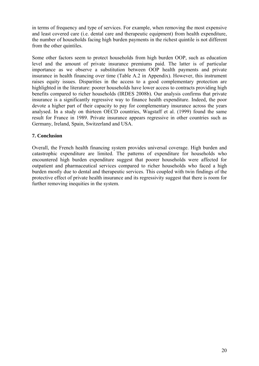in terms of frequency and type of services. For example, when removing the most expensive and least covered care (i.e. dental care and therapeutic equipment) from health expenditure, the number of households facing high burden payments in the richest quintile is not different from the other quintiles.

Some other factors seem to protect households from high burden OOP, such as education level and the amount of private insurance premiums paid. The latter is of particular importance as we observe a substitution between OOP health payments and private insurance in health financing over time (Table A.2 in Appendix). However, this instrument raises equity issues. Disparities in the access to a good complementary protection are highlighted in the literature: poorer households have lower access to contracts providing high benefits compared to richer households (IRDES 2008b). Our analysis confirms that private insurance is a significantly regressive way to finance health expenditure. Indeed, the poor devote a higher part of their capacity to pay for complementary insurance across the years analysed. In a study on thirteen OECD countries, Wagstaff et al. (1999) found the same result for France in 1989. Private insurance appears regressive in other countries such as Germany, Ireland, Spain, Switzerland and USA.

## <span id="page-24-0"></span>**7. Conclusion**

Overall, the French health financing system provides universal coverage. High burden and catastrophic expenditure are limited. The patterns of expenditure for households who encountered high burden expenditure suggest that poorer households were affected for outpatient and pharmaceutical services compared to richer households who faced a high burden mostly due to dental and therapeutic services. This coupled with twin findings of the protective effect of private health insurance and its regressivity suggest that there is room for further removing inequities in the system.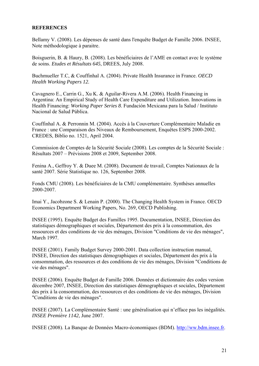#### <span id="page-25-0"></span>**REFERENCES**

Bellamy V. (2008). Les dépenses de santé dans l'enquête Budget de Famille 2006. INSEE, Note méthodologique à paraitre.

Boisguerin, B. & Haury, B. (2008). Les bénéficiaires de l'AME en contact avec le système de soins. *Etudes et Résultats 645*, DREES, July 2008.

Buchmueller T.C, & Couffinhal A. (2004). Private Health Insurance in France. *OECD Health Working Papers 12.*

Cavagnero E., Carrin G., Xu K. & Aguilar-Rivera A.M. (2006). Health Financing in Argentina: An Empirical Study of Health Care Expenditure and Utilization. Innovations in Health Financing: *Working Paper Series 8*. Fundación Mexicana para la Salud / Instituto Nacional de Salud Pública.

Couffinhal A. & Perronnin M. (2004). Accès à la Couverture Complémentaire Maladie en France : une Comparaison des Niveaux de Remboursement, Enquêtes ESPS 2000-2002. CREDES, Biblio no. 1521, April 2004.

Commission de Comptes de la Sécurité Sociale (2008). Les comptes de la Sécurité Sociale : Résultats 2007 – Prévisions 2008 et 2009, September 2008.

Fenina A., Geffroy Y. & Duee M. (2008). Document de travail, Comptes Nationaux de la santé 2007. Série Statistique no. 126, September 2008.

Fonds CMU (2008). Les bénéficiaires de la CMU complémentaire. Synthèses annuelles 2000-2007.

Imai Y., Jacobzone S. & Lenain P. (2000). The Changing Health System in France. OECD Economics Department Working Papers, No. 269, OECD Publishing.

INSEE (1995). Enquête Budget des Familles 1995. Documentation, INSEE, Direction des statistiques démographiques et sociales, Département des prix à la consommation, des ressources et des conditions de vie des ménages, Division "Conditions de vie des ménages", March 1997.

INSEE (2001). Family Budget Survey 2000-2001. Data collection instruction manual, INSEE, Direction des statistiques démographiques et sociales, Département des prix à la consommation, des ressources et des conditions de vie des ménages, Division "Conditions de vie des ménages".

INSEE (2006). Enquête Budget de Famille 2006. Données et dictionnaire des codes version décembre 2007, INSEE, Direction des statistiques démographiques et sociales, Département des prix à la consommation, des ressources et des conditions de vie des ménages, Division "Conditions de vie des ménages".

INSEE (2007). La Complémentaire Santé : une généralisation qui n'efface pas les inégalités. *INSEE Première 1142*, June 2007.

INSEE (2008). La Banque de Données Macro-économiques (BDM). [http://ww.bdm.insee.fr](http://ww.bdm.insee.fr/).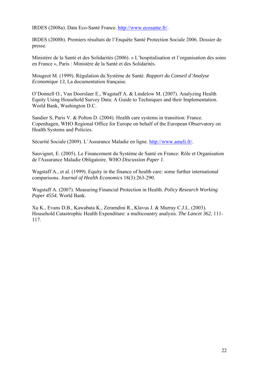IRDES (2008a). Data Eco-Santé France. [http://www.ecosante.fr/.](http://www.ecosante.fr/)

IRDES (2008b). Premiers résultats de l'Enquête Santé Protection Sociale 2006. Dossier de presse.

Ministère de la Santé et des Solidarités (2006). « L'hospitalisation et l'organisation des soins en France », Paris : Ministère de la Santé et des Solidarités.

Mougeot M. (1999). Régulation du Système de Santé. *Rapport du Conseil d'Analyse Economique 13*, La documentation française.

O'Donnell O., Van Doorslaer E., Wagstaff A. & Lindelow M. (2007). Analyzing Health Equity Using Household Survey Data: A Guide to Techniques and their Implementation. World Bank, Washington D.C.

Sandier S, Paris V. & Polton D. (2004). Health care systems in transition: France. Copenhagen, WHO Regional Office for Europe on behalf of the European Observatory on Health Systems and Policies.

Sécurité Sociale (2009). L'Assurance Maladie en ligne. [http://www.ameli.fr/.](http://www.ameli.fr/)

Sauvignet, E. (2005). Le Financement du Système de Santé en France: Rôle et Organisation de l'Assurance Maladie Obligatoire. WHO *Discussion Paper 1*.

Wagstaff A., et al. (1999). Equity in the finance of health care: some further international comparisons. *Journal of Health Economics* 18(3):263-290.

Wagstaff A. (2007). Measuring Financial Protection in Health. *Policy Research Working Paper 4554*, World Bank.

Xu K., Evans D.B., Kawabata K., Zeramdini R., Klavus J. & Murray C.J.L. (2003). Household Catastrophic Health Expenditure: a multicountry analysis. *The Lancet 362*, 111- 117.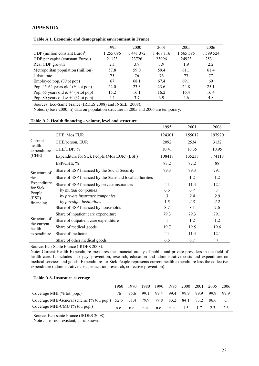#### **APPENDIX**

| Table A.1. Economic and demographic environment in France |  |  |  |
|-----------------------------------------------------------|--|--|--|
|-----------------------------------------------------------|--|--|--|

|                                                                     | 1995      | 2000      | 2001      | 2005      | 2006      |
|---------------------------------------------------------------------|-----------|-----------|-----------|-----------|-----------|
| GDP (million constant Euros <sup>1</sup> )                          | 1 255 096 | 1 441 372 | 1 468 116 | 1 565 595 | 1 599 524 |
| GDP per capita (constant Euros <sup>i</sup> )                       | 21123     | 23726     | 23996     | 24923     | 25311     |
| Real GDP growth                                                     | 2.1       | 3.9       | 1.9       | 1.9       | 2.2       |
| Metropolitan population (million)                                   | 57.8      | 59.0      | 59.4      | 61.1      | 61.4      |
| Urban rate                                                          | 75        | 76        | 76        | 77        | 77        |
| Employed pop. (%tot pop)                                            | 67        | 68.1      | 67.4      | 69.1      | 69        |
| Pop. 45-64 years old <sup><math>\mathbf{u}</math></sup> (% tot pop) | 22.0      | 23.3      | 23.6      | 24.8      | 25.1      |
| Pop. 65 years old $\& +^{n}$ (%tot pop)                             | 15.2      | 16.1      | 16.2      | 16.4      | 16.4      |
| Pop. 80 years old $\& +^{n}$ (%tot pop)                             | 4.1       | 3.7       | 3.9       | 4.6       | 4.8       |

Sources: Eco-Santé France (IRDES 2008) and INSEE (2008).

Notes: i) base 2000; ii) data on population structure in 2005 and 2006 are temporary.

#### **Table A.2. Health financing – volume, level and structure**

|                                  |                                                          | 1995   | 2001   | 2006   |
|----------------------------------|----------------------------------------------------------|--------|--------|--------|
| Current<br>health<br>expenditure | CHE, Mos EUR                                             | 124301 | 155012 | 197920 |
|                                  | CHE/person, EUR                                          | 2092   | 2534   | 3132   |
|                                  | CHE/GDP, %                                               | 10.41  | 10.35  | 10.95  |
| (CHE)                            | Expenditure for Sick People (Mos EUR) (ESP)              | 108418 | 135237 | 174118 |
|                                  | ESP/CHE, %                                               | 87.2   | 87.2   | 88     |
| Structure of<br>the              | Share of ESP financed by the Social Security             | 79.3   | 79.3   | 79.1   |
|                                  | Share of ESP financed by the State and local authorities | 1      | 1.2    | 1.2    |
| Expenditure                      | Share of ESP financed by private insurances              | 11     | 11.4   | 12.1   |
| for Sick<br>People               | by mutual companies                                      | 6.6    | 6.7    | 7      |
| (ESP)                            | by private insurance companies                           | 3      | 2.4    | 2.9    |
| financing                        | by foresight institutions                                | 1.5    | 2.3    | 2.2    |
|                                  | Share of ESP financed by households                      | 8.7    | 8.1    | 7.6    |
|                                  | Share of inpatient care expenditure                      | 79.3   | 79.3   | 79.1   |
| Structure of<br>the current      | Share of outpatient care expenditure                     |        | 1.2    | 1.2    |
| health                           | Share of medical goods                                   | 19.7   | 19.5   | 19.6   |
| expenditure                      | Share of medicine                                        | 11     | 11.4   | 12.1   |
|                                  | Share of other medical goods                             | 6.6    | 6.7    | 7      |

Source: Eco-Santé France (IRDES 2008).

Note: Current Health Expenditure measures the financial outlay of public and private providers in the field of health care. It includes sick pay, prevention, research, education and administrative costs and expenditure on medical services and goods. Expenditure for Sick People represents current health expenditure less the collective expenditure (administrative costs, education, research, collective prevention).

#### **Table A.3. Insurance coverage**

|                                                                                                                | 1960 | 1970 | 1980 | 1990                        | 1995 | 2000 | 2001   | 2005  | 2006  |
|----------------------------------------------------------------------------------------------------------------|------|------|------|-----------------------------|------|------|--------|-------|-------|
| Coverage MHI $(\%$ tot. pop.)                                                                                  |      |      |      | 76 95.6 99.1 99.4 99.4 99.9 |      |      | - 99.9 | -99.9 | -99.9 |
| Coverage MHI-General scheme (% tot. pop.) 52.6 71.4 79.9 79.8 83.2 84.1 83.2<br>Coverage MHI-CMU (% tot. pop.) |      |      |      |                             |      |      |        | 86.6  | u.    |
|                                                                                                                |      |      |      | n.e. n.e. n.e. n.e. 1.5     |      |      | $\Box$ | 23    |       |

Source: Eco-santé France (IRDES 2008).

Note : n.e.=non existant, u.=unknown.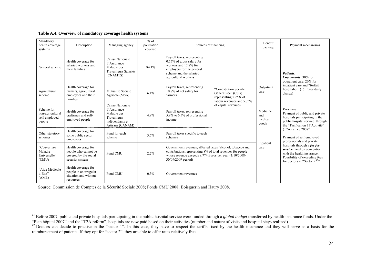**Table A.4. Overview of mandatory coverage health systems** 

| Mandatory<br>health coverage<br>systems                   | Description                                                                             | Managing agency                                                                                       | $%$ of<br>population<br>covered | Sources of financing                                                                                                                                                                                          |                                                                                                   | <b>Benefit</b><br>package           | Payment mechanisms                                                                                                                                             |
|-----------------------------------------------------------|-----------------------------------------------------------------------------------------|-------------------------------------------------------------------------------------------------------|---------------------------------|---------------------------------------------------------------------------------------------------------------------------------------------------------------------------------------------------------------|---------------------------------------------------------------------------------------------------|-------------------------------------|----------------------------------------------------------------------------------------------------------------------------------------------------------------|
| General scheme                                            | Health coverage for<br>salaried workers and<br>their families                           | Caisse Nationale<br>d'Assurance<br>Maladie des<br>Travailleurs Salariés<br>(CNAMTS)                   | 84.1%                           | Payroll taxes, representing<br>$0.75\%$ of gross salary for<br>workers and 12.8% for<br>employers for the general<br>scheme and the salaried<br>agricultural workers                                          |                                                                                                   |                                     | Patients:<br>Copayments: 30% for<br>outpatient care, 20% for                                                                                                   |
| Agricultural<br>scheme                                    | Health coverage for<br>farmers, agricultural<br>employees and their<br>families         | Mutualité Sociale<br>Agricole (MSA)                                                                   | 6.1%                            | Payroll taxes, representing<br>10.8% of net salary for<br>farmers                                                                                                                                             | "Contribution Sociale<br>Généralisée" (CSG)<br>representing 5.25% of<br>labour revenues and 5.75% | Outpatient<br>care                  | inpatient care and "forfait<br>hospitalier" (15 Euros daily<br>charge)                                                                                         |
| Scheme for<br>non-agricultural<br>self-employed<br>people | Health coverage for<br>craftsmen and self-<br>employed people                           | Caisse Nationale<br>d'Assurance<br>Maladie des<br>Travailleurs<br>indépendants et<br>Artisans (CANAM) | 4.9%                            | Payroll taxes, representing<br>5.9% to 6.5% of professional<br>income                                                                                                                                         | of capital revenues                                                                               | Medicine<br>and<br>medical<br>goods | Providers:<br>Payment of public and private<br>hospitals participating in the<br>public hospital service through<br>the "Tarification à l'Activité"            |
| Other statutory<br>schemes                                | Health coverage for<br>some public sector<br>employees                                  | Fund for each<br>scheme                                                                               | 3.5%                            | Payroll taxes specific to each<br>schemes                                                                                                                                                                     |                                                                                                   |                                     | (T2A) since $2007^{41}$<br>Payment of self employed<br>professionals and private                                                                               |
| "Couverture<br>Maladie<br>Universelle"<br>(CMU)           | Health coverage for<br>people who cannot be<br>covered by the social<br>security system | Fund CMU                                                                                              | 2.2%                            | Government revenues, affected taxes (alcohol, tobacco) and<br>contributions representing 8% of total revenues for people<br>whose revenue exceeds $8,774$ Euros per year $(1/10/2008 -$<br>30/09/2009 period) |                                                                                                   | Inpatient<br>care                   | hospitals through a fee for<br>service fixed by convention<br>with the health insurance.<br>Possibility of exceeding fees<br>for doctors in "Sector $2^{42}$ " |
| "Aide Médicale<br>d'Etat"<br>(AME)                        | Health coverage for<br>people in an irregular<br>situation and without<br>resources     | Fund CMU                                                                                              | 0.3%                            | Government revenues                                                                                                                                                                                           |                                                                                                   |                                     |                                                                                                                                                                |

Source: Commission de Comptes de la Sécurité Sociale 2008; Fonds CMU 2008; Boisguerin and Haury 2008.

<span id="page-28-0"></span><sup>41</sup> Before 2007, public and private hospitals participating in the public hospital service were funded through a *global budget* transferred by health insurance funds. Under the "Plan hôpital 2007" and the "T2A reform", hospitals are now paid based on their activities (number and nature of visits and hospital stays realized).

<span id="page-28-1"></span> $42$  Doctors can decide to practise in the "sector 1". In this case, they have to respect the tariffs fixed by the health insurance and they will serve as a basis for the reimbursement of patients. If they opt for "sector 2", they are able to offer rates relatively free.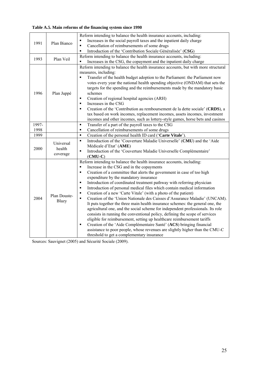|  |  | Table A.5. Main reforms of the financing system since 1990 |  |  |
|--|--|------------------------------------------------------------|--|--|
|  |  |                                                            |  |  |

|       |                                 | Reform intending to balance the health insurance accounts, including:                                                                                                                                                                                                                                                                                                                                                                                                                                                                                                                                                                                                                                                                                                                                                                                                                                                                                                                                                                                                                                                                                                                                           |
|-------|---------------------------------|-----------------------------------------------------------------------------------------------------------------------------------------------------------------------------------------------------------------------------------------------------------------------------------------------------------------------------------------------------------------------------------------------------------------------------------------------------------------------------------------------------------------------------------------------------------------------------------------------------------------------------------------------------------------------------------------------------------------------------------------------------------------------------------------------------------------------------------------------------------------------------------------------------------------------------------------------------------------------------------------------------------------------------------------------------------------------------------------------------------------------------------------------------------------------------------------------------------------|
| 1991  | Plan Bianco                     | Increases in the social payroll taxes and the inpatient daily charge                                                                                                                                                                                                                                                                                                                                                                                                                                                                                                                                                                                                                                                                                                                                                                                                                                                                                                                                                                                                                                                                                                                                            |
|       |                                 | Cancellation of reimbursements of some drugs<br>$\blacksquare$                                                                                                                                                                                                                                                                                                                                                                                                                                                                                                                                                                                                                                                                                                                                                                                                                                                                                                                                                                                                                                                                                                                                                  |
|       |                                 | Introduction of the 'Contribution Sociale Généralisée' (CSG)<br>$\blacksquare$                                                                                                                                                                                                                                                                                                                                                                                                                                                                                                                                                                                                                                                                                                                                                                                                                                                                                                                                                                                                                                                                                                                                  |
| 1993  | Plan Veil                       | Reform intending to balance the health insurance accounts, including:                                                                                                                                                                                                                                                                                                                                                                                                                                                                                                                                                                                                                                                                                                                                                                                                                                                                                                                                                                                                                                                                                                                                           |
|       |                                 | $\blacksquare$<br>Increases in the CSG, the copayment and the inpatient daily charge                                                                                                                                                                                                                                                                                                                                                                                                                                                                                                                                                                                                                                                                                                                                                                                                                                                                                                                                                                                                                                                                                                                            |
| 1996  | Plan Juppé                      | Reform intending to balance the health insurance accounts, but with more structural<br>measures, including:<br>Transfer of the health budget adoption to the Parliament: the Parliament now<br>$\blacksquare$<br>votes every year the national health spending objective (ONDAM) that sets the<br>targets for the spending and the reimbursements made by the mandatory basic<br>schemes<br>Creation of regional hospital agencies (ARH)<br>$\blacksquare$<br>Increases in the CSG<br>$\blacksquare$<br>Creation of the 'Contribution au remboursement de la dette sociale' (CRDS), a<br>$\blacksquare$<br>tax based on work incomes, replacement incomes, assets incomes, investment<br>incomes and other incomes, such as lottery-style games, horse bets and casinos                                                                                                                                                                                                                                                                                                                                                                                                                                         |
| 1997- |                                 | Transfer of a part of the payroll taxes to the CSG<br>$\blacksquare$                                                                                                                                                                                                                                                                                                                                                                                                                                                                                                                                                                                                                                                                                                                                                                                                                                                                                                                                                                                                                                                                                                                                            |
| 1998  |                                 | Cancellation of reimbursements of some drugs<br>$\blacksquare$                                                                                                                                                                                                                                                                                                                                                                                                                                                                                                                                                                                                                                                                                                                                                                                                                                                                                                                                                                                                                                                                                                                                                  |
| 1999  |                                 | Creation of the personal health ID card ('Carte Vitale').<br>$\blacksquare$                                                                                                                                                                                                                                                                                                                                                                                                                                                                                                                                                                                                                                                                                                                                                                                                                                                                                                                                                                                                                                                                                                                                     |
| 2000  | Universal<br>health<br>coverage | Introduction of the 'Couverture Maladie Universelle' (CMU) and the 'Aide<br>$\blacksquare$<br>Médicale d'Etat' (AME)<br>Introduction of the 'Couverture Maladie Universelle Complémentaire'<br>$\blacksquare$<br>$(CMU-C)$                                                                                                                                                                                                                                                                                                                                                                                                                                                                                                                                                                                                                                                                                                                                                                                                                                                                                                                                                                                      |
| 2004  | Plan Douste-<br>Blazy           | Reform intending to balance the health insurance accounts, including:<br>Increase in the CSG and in the copayments<br>$\blacksquare$<br>Creation of a committee that alerts the government in case of too high<br>$\blacksquare$<br>expenditure by the mandatory insurance<br>Introduction of coordinated treatment pathway with referring physician<br>$\blacksquare$<br>Introduction of personal medical files which contain medical information<br>$\blacksquare$<br>Creation of a new 'Carte Vitale' (with a photo of the patient)<br>$\blacksquare$<br>Creation of the 'Union Nationale des Caisses d'Assurance Maladie' (UNCAM).<br>$\blacksquare$<br>It puts together the three main health insurance schemes: the general one, the<br>agricultural one, and the social scheme for independent professionals. Its role<br>consists in running the conventional policy, defining the scope of services<br>eligible for reimbursement, setting up healthcare reimbursement tariffs<br>Creation of the 'Aide Complémentaire Santé' (ACS) bringing financial<br>$\blacksquare$<br>assistance to poor people, whose revenues are slightly higher than the CMU-C<br>threshold to get a complementary insurance |

Sources: Sauvignet (2005) and Sécurité Sociale (2009).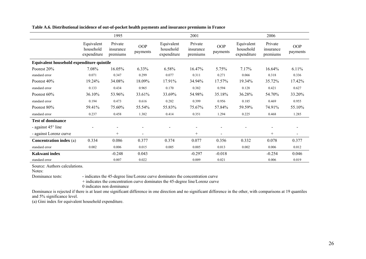|                                           |                                        | 1995                             |                 |                                        | 2001                             |                        |                                        | 2006                             |                 |
|-------------------------------------------|----------------------------------------|----------------------------------|-----------------|----------------------------------------|----------------------------------|------------------------|----------------------------------------|----------------------------------|-----------------|
|                                           | Equivalent<br>household<br>expenditure | Private<br>insurance<br>premiums | OOP<br>payments | Equivalent<br>household<br>expenditure | Private<br>insurance<br>premiums | <b>OOP</b><br>payments | Equivalent<br>household<br>expenditure | Private<br>insurance<br>premiums | OOP<br>payments |
| Equivalent household expenditure quintile |                                        |                                  |                 |                                        |                                  |                        |                                        |                                  |                 |
| Poorest 20%                               | 7.08%                                  | 16.05%                           | 6.33%           | 6.58%                                  | 16.47%                           | 5.75%                  | 7.17%                                  | 16.64%                           | 6.11%           |
| standard error                            | 0.071                                  | 0.347                            | 0.299           | 0.077                                  | 0.311                            | 0.271                  | 0.066                                  | 0.318                            | 0.336           |
| Poorest 40%                               | 19.24%                                 | 34.08%                           | 18.09%          | 17.91%                                 | 34.94%                           | 17.57%                 | 19.34%                                 | 35.72%                           | 17.42%          |
| standard error                            | 0.133                                  | 0.434                            | 0.965           | 0.170                                  | 0.382                            | 0.594                  | 0.128                                  | 0.421                            | 0.627           |
| Poorest 60%                               | 36.10%                                 | 53.96%                           | 33.61%          | 33.69%                                 | 54.98%                           | 35.18%                 | 36.28%                                 | 54.70%                           | 33.20%          |
| standard error                            | 0.194                                  | 0.473                            | 0.616           | 0.282                                  | 0.399                            | 0.956                  | 0.185                                  | 0.469                            | 0.955           |
| Poorest 80%                               | 59.41%                                 | 75.60%                           | 55.54%          | 55.83%                                 | 75.67%                           | 57.84%                 | 59.59%                                 | 74.91%                           | 55.10%          |
| standard error                            | 0.237                                  | 0.458                            | 1.382           | 0.414                                  | 0.351                            | 1.294                  | 0.225                                  | 0.468                            | 1.285           |
| <b>Test of dominance</b>                  |                                        |                                  |                 |                                        |                                  |                        |                                        |                                  |                 |
| - against 45° line                        |                                        |                                  |                 |                                        |                                  |                        |                                        |                                  |                 |
| - against Lorenz curve                    |                                        | $^{+}$                           |                 |                                        | $^{+}$                           |                        |                                        | $^{+}$                           |                 |
| <b>Concentration index (a)</b>            | 0.334                                  | 0.086                            | 0.377           | 0.374                                  | 0.077                            | 0.356                  | 0.332                                  | 0.078                            | 0.377           |
| standard error                            | 0.002                                  | 0.006                            | 0.015           | 0.005                                  | 0.005                            | 0.013                  | 0.002                                  | 0.006                            | 0.012           |
| Kakwani index                             |                                        | $-0.248$                         | 0.043           |                                        | $-0.297$                         | $-0.018$               |                                        | $-0.254$                         | 0.046           |
| standard error                            |                                        | 0.007                            | 0.022           |                                        | 0.009                            | 0.021                  |                                        | 0.006                            | 0.019           |

**Table A.6. Distributional incidence of out-of-pocket health payments and insurance premiums in France** 

Source: Authors calculations.

Notes:

Dominance tests: **-** indicates the 45-degree line/Lorenz curve dominates the concentration curve

+ indicates the concentration curve dominates the 45-degree line/Lorenz curve

0 indicates non dominance

Dominance is rejected if there is at least one significant difference in one direction and no significant difference in the other, with comparisons at 19 quantiles and 5% significance level.

(a) Gini index for equivalent household expenditure.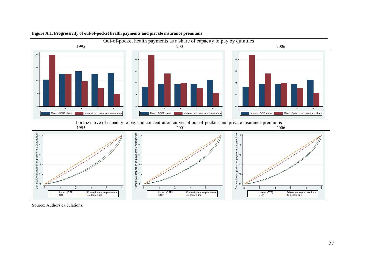

#### **Figure A.1. Progressivity of out-of-pocket health payments and private insurance premiums**

Source: Authors calculations.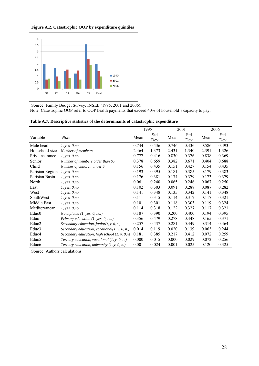#### **Figure A.2. Catastrophic OOP by expenditure quintiles**



Source: Family Budget Survey, INSEE (1995, 2001 and 2006). Note: Catastrophic OOP refer to OOP health payments that exceed 40% of household's capacity to pay.

|                   |                                                 |       | 1995         |       | 2001         | 2006  |              |
|-------------------|-------------------------------------------------|-------|--------------|-------|--------------|-------|--------------|
| Variable          | <b>Note</b>                                     | Mean  | Std.<br>Dev. | Mean  | Std.<br>Dev. | Mean  | Std.<br>Dev. |
| Male head         | 1, yes. 0,no.                                   | 0.744 | 0.436        | 0.746 | 0.436        | 0.586 | 0.493        |
| Household size    | Number of members                               | 2.464 | 1.373        | 2.431 | 1.340        | 2.391 | 1.326        |
| Priv. insurance   | <i>l</i> , yes. 0,no.                           | 0.777 | 0.416        | 0.830 | 0.376        | 0.838 | 0.369        |
| Senior            | Number of members older than 65                 | 0.378 | 0.659        | 0.382 | 0.671        | 0.404 | 0.688        |
| Child             | Number of children under 5                      | 0.156 | 0.435        | 0.151 | 0.427        | 0.154 | 0.435        |
| Parisian Region   | <i>l</i> , yes. 0,no.                           | 0.193 | 0.395        | 0.181 | 0.385        | 0.179 | 0.383        |
| Parisian Basin    | 1, yes. 0,no.                                   | 0.176 | 0.381        | 0.174 | 0.379        | 0.173 | 0.379        |
| North             | 1, yes. 0,no.                                   | 0.061 | 0.240        | 0.065 | 0.246        | 0.067 | 0.250        |
| East              | 1, yes. 0,no.                                   | 0.102 | 0.303        | 0.091 | 0.288        | 0.087 | 0.282        |
| West              | <i>l</i> , yes. 0,no.                           | 0.141 | 0.348        | 0.135 | 0.342        | 0.141 | 0.348        |
| SouthWest         | 1, yes. 0,no.                                   | 0.111 | 0.315        | 0.114 | 0.317        | 0.117 | 0.321        |
| Middle East       | <i>l</i> , yes. 0,no.                           | 0.101 | 0.301        | 0.118 | 0.303        | 0.119 | 0.324        |
| Mediterranean     | 1, yes. 0,no.                                   | 0.114 | 0.318        | 0.122 | 0.327        | 0.117 | 0.321        |
| Educ <sub>0</sub> | No diploma $(1, yes, 0, no.)$                   | 0.187 | 0.390        | 0.200 | 0.400        | 0.194 | 0.395        |
| Educ1             | Primary education $(1, yes, 0, no.)$            | 0.356 | 0.479        | 0.278 | 0.448        | 0.165 | 0.371        |
| Educ <sub>2</sub> | Secondary education, junior $(1, y, 0, n)$      | 0.257 | 0.437        | 0.281 | 0.449        | 0.314 | 0.464        |
| Educ3             | Secondary education, vocational(1, y. 0, n.)    | 0.014 | 0.119        | 0.020 | 0.139        | 0.063 | 0.244        |
| Educ4             | Secondary education, high school $(1, y, 0, n)$ | 0.181 | 0.385        | 0.217 | 0.412        | 0.072 | 0.259        |
| Educ <sub>5</sub> | Tertiary education, vocational $(1, y, 0, n)$   | 0.000 | 0.015        | 0.000 | 0.029        | 0.072 | 0.256        |
| Educ <sub>6</sub> | Tertiary education, university $(1, y. 0, n.)$  | 0.001 | 0.024        | 0.001 | 0.025        | 0.120 | 0.325        |

| Table A.7. Descriptive statistics of the determinants of catastrophic expenditure |  |  |  |  |  |
|-----------------------------------------------------------------------------------|--|--|--|--|--|
|-----------------------------------------------------------------------------------|--|--|--|--|--|

Source: Authors calculations.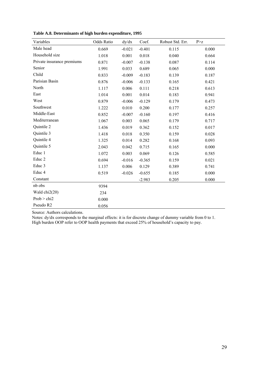| Variables                  | Odds Ratio | dy/dx    | Coef.    | Robust Std. Err. | P > z |
|----------------------------|------------|----------|----------|------------------|-------|
| Male head                  | 0.669      | $-0.021$ | $-0.401$ | 0.115            | 0.000 |
| Household size             | 1.018      | 0.001    | 0.018    | 0.040            | 0.664 |
| Private insurance premiums | 0.871      | $-0.007$ | $-0.138$ | 0.087            | 0.114 |
| Senior                     | 1.991      | 0.033    | 0.689    | 0.065            | 0.000 |
| Child                      | 0.833      | $-0.009$ | $-0.183$ | 0.139            | 0.187 |
| Parisian Basin             | 0.876      | $-0.006$ | $-0.133$ | 0.165            | 0.421 |
| North                      | 1.117      | 0.006    | 0.111    | 0.218            | 0.613 |
| East                       | 1.014      | 0.001    | 0.014    | 0.183            | 0.941 |
| West                       | 0.879      | $-0.006$ | $-0.129$ | 0.179            | 0.473 |
| Southwest                  | 1.222      | 0.010    | 0.200    | 0.177            | 0.257 |
| Middle-East                | 0.852      | $-0.007$ | $-0.160$ | 0.197            | 0.416 |
| Mediterranean              | 1.067      | 0.003    | 0.065    | 0.179            | 0.717 |
| Quintile 2                 | 1.436      | 0.019    | 0.362    | 0.152            | 0.017 |
| Quintile 3                 | 1.418      | 0.018    | 0.350    | 0.159            | 0.028 |
| Quintile 4                 | 1.325      | 0.014    | 0.282    | 0.168            | 0.093 |
| Quintile 5                 | 2.043      | 0.042    | 0.715    | 0.165            | 0.000 |
| Educ 1                     | 1.072      | 0.003    | 0.069    | 0.126            | 0.585 |
| Educ <sub>2</sub>          | 0.694      | $-0.016$ | $-0.365$ | 0.159            | 0.021 |
| Educ 3                     | 1.137      | 0.006    | 0.129    | 0.389            | 0.741 |
| Educ 4                     | 0.519      | $-0.026$ | $-0.655$ | 0.185            | 0.000 |
| Constant                   |            |          | $-2.983$ | 0.205            | 0.000 |
| nb obs                     | 9394       |          |          |                  |       |
| Wald chi2(20)              | 234        |          |          |                  |       |
| Prob > chi2                | 0.000      |          |          |                  |       |
| Pseudo R2                  | 0.056      |          |          |                  |       |

**Table A.8. Determinants of high burden expenditure, 1995** 

Source: Authors calculations.

Notes: dy/dx corresponds to the marginal effects: it is for discrete change of dummy variable from 0 to 1. High burden OOP refer to OOP health payments that exceed 25% of household's capacity to pay.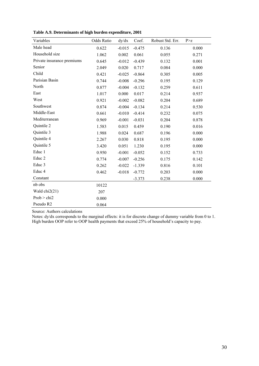| Variables                  | Odds Ratio | dy/dx    | Coef.    | Robust Std. Err. | P > z |
|----------------------------|------------|----------|----------|------------------|-------|
| Male head                  | 0.622      | $-0.015$ | $-0.475$ | 0.136            | 0.000 |
| Household size             | 1.062      | 0.002    | 0.061    | 0.055            | 0.271 |
| Private insurance premiums | 0.645      | $-0.012$ | $-0.439$ | 0.132            | 0.001 |
| Senior                     | 2.049      | 0.020    | 0.717    | 0.084            | 0.000 |
| Child                      | 0.421      | $-0.025$ | $-0.864$ | 0.305            | 0.005 |
| Parisian Basin             | 0.744      | $-0.008$ | $-0.296$ | 0.195            | 0.129 |
| North                      | 0.877      | $-0.004$ | $-0.132$ | 0.259            | 0.611 |
| East                       | 1.017      | 0.000    | 0.017    | 0.214            | 0.937 |
| West                       | 0.921      | $-0.002$ | $-0.082$ | 0.204            | 0.689 |
| Southwest                  | 0.874      | $-0.004$ | $-0.134$ | 0.214            | 0.530 |
| Middle-East                | 0.661      | $-0.010$ | $-0.414$ | 0.232            | 0.075 |
| Mediterranean              | 0.969      | $-0.001$ | $-0.031$ | 0.204            | 0.878 |
| Quintile 2                 | 1.583      | 0.015    | 0.459    | 0.190            | 0.016 |
| Quintile 3                 | 1.988      | 0.024    | 0.687    | 0.196            | 0.000 |
| Quintile 4                 | 2.267      | 0.030    | 0.818    | 0.195            | 0.000 |
| Quintile 5                 | 3.420      | 0.051    | 1.230    | 0.195            | 0.000 |
| Educ 1                     | 0.950      | $-0.001$ | $-0.052$ | 0.152            | 0.733 |
| Educ <sub>2</sub>          | 0.774      | $-0.007$ | $-0.256$ | 0.175            | 0.142 |
| Educ 3                     | 0.262      | $-0.022$ | $-1.339$ | 0.816            | 0.101 |
| Educ 4                     | 0.462      | $-0.018$ | $-0.772$ | 0.203            | 0.000 |
| Constant                   |            |          | $-3.373$ | 0.238            | 0.000 |
| nb obs                     | 10122      |          |          |                  |       |
| Wald $chi2(21)$            | 207        |          |          |                  |       |
| Prob > chi2                | 0.000      |          |          |                  |       |
| Pseudo R2                  | 0.064      |          |          |                  |       |

**Table A.9. Determinants of high burden expenditure, 2001** 

Source: Authors calculations

Notes: dy/dx corresponds to the marginal effects: it is for discrete change of dummy variable from 0 to 1. High burden OOP refer to OOP health payments that exceed 25% of household's capacity to pay.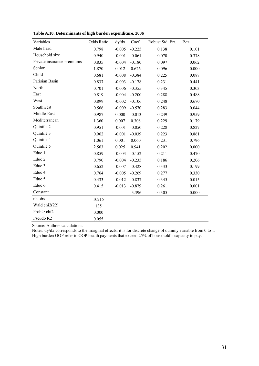| Variables                  | Odds Ratio | dy/dx    | Coef.    | Robust Std. Err. | P > Z |
|----------------------------|------------|----------|----------|------------------|-------|
| Male head                  | 0.798      | $-0.005$ | $-0.225$ | 0.138            | 0.101 |
| Household size             | 0.940      | $-0.001$ | $-0.061$ | 0.070            | 0.378 |
| Private insurance premiums | 0.835      | $-0.004$ | $-0.180$ | 0.097            | 0.062 |
| Senior                     | 1.870      | 0.012    | 0.626    | 0.096            | 0.000 |
| Child                      | 0.681      | $-0.008$ | $-0.384$ | 0.225            | 0.088 |
| Parisian Basin             | 0.837      | $-0.003$ | $-0.178$ | 0.231            | 0.441 |
| North                      | 0.701      | $-0.006$ | $-0.355$ | 0.345            | 0.303 |
| East                       | 0.819      | $-0.004$ | $-0.200$ | 0.288            | 0.488 |
| West                       | 0.899      | $-0.002$ | $-0.106$ | 0.248            | 0.670 |
| Southwest                  | 0.566      | $-0.009$ | $-0.570$ | 0.283            | 0.044 |
| Middle-East                | 0.987      | 0.000    | $-0.013$ | 0.249            | 0.959 |
| Mediterranean              | 1.360      | 0.007    | 0.308    | 0.229            | 0.179 |
| Quintile 2                 | 0.951      | $-0.001$ | $-0.050$ | 0.228            | 0.827 |
| Quintile 3                 | 0.962      | $-0.001$ | $-0.039$ | 0.223            | 0.861 |
| Quintile 4                 | 1.061      | 0.001    | 0.060    | 0.231            | 0.796 |
| Quintile 5                 | 2.563      | 0.025    | 0.941    | 0.202            | 0.000 |
| Educ 1                     | 0.859      | $-0.003$ | $-0.152$ | 0.211            | 0.470 |
| Educ <sub>2</sub>          | 0.790      | $-0.004$ | $-0.235$ | 0.186            | 0.206 |
| Educ 3                     | 0.652      | $-0.007$ | $-0.428$ | 0.333            | 0.199 |
| Educ 4                     | 0.764      | $-0.005$ | $-0.269$ | 0.277            | 0.330 |
| Educ 5                     | 0.433      | $-0.012$ | $-0.837$ | 0.345            | 0.015 |
| Educ <sub>6</sub>          | 0.415      | $-0.013$ | $-0.879$ | 0.261            | 0.001 |
| Constant                   |            |          | $-3.396$ | 0.305            | 0.000 |
| nb obs                     | 10215      |          |          |                  |       |
| Wald chi2(22)              | 135        |          |          |                  |       |
| Prob > chi2                | 0.000      |          |          |                  |       |
| Pseudo R2                  | 0.055      |          |          |                  |       |

**Table A.10. Determinants of high burden expenditure, 2006** 

Source: Authors calculations.

Notes: dy/dx corresponds to the marginal effects: it is for discrete change of dummy variable from 0 to 1. High burden OOP refer to OOP health payments that exceed 25% of household's capacity to pay.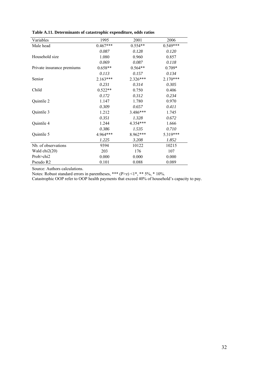| Variables                  | 1995       | 2001       | 2006       |
|----------------------------|------------|------------|------------|
| Male head                  | $0.467***$ | $0.554**$  | $0.549***$ |
|                            | 0.087      | 0.128      | 0.120      |
| Household size             | 1.080      | 0.960      | 0.857      |
|                            | 0.069      | 0.087      | 0.118      |
| Private insurance premiums | $0.658**$  | $0.564**$  | 0.709*     |
|                            | 0.113      | 0.157      | 0.134      |
| Senior                     | $2.163***$ | $2.326***$ | $2.170***$ |
|                            | 0.231      | 0.314      | 0.305      |
| Child                      | $0.522**$  | 0.750      | 0.406      |
|                            | 0.172      | 0.312      | 0.234      |
| Quintile 2                 | 1.147      | 1.780      | 0.970      |
|                            | 0.309      | 0.657      | 0.411      |
| Quintile 3                 | 1.212      | $3.486***$ | 1.745      |
|                            | 0.351      | 1.328      | 0.672      |
| Quintile 4                 | 1.244      | 4.354***   | 1.666      |
|                            | 0.386      | 1.535      | 0.710      |
| Quintile 5                 | 4.964***   | 8.962***   | 5.319***   |
|                            | 1.225      | 3.208      | 1.852      |
| Nb. of observations        | 9394       | 10122      | 10215      |
| Wald $chi2(20)$            | 203        | 176        | 107        |
| Prob > chi2                | 0.000      | 0.000      | 0.000      |
| Pseudo R2                  | 0.101      | 0.088      | 0.089      |

**Table A.11. Determinants of catastrophic expenditure, odds ratios** 

Source: Authors calculations.

Notes: Robust standard errors in parentheses, \*\*\*  $(P>z) < 1^*$ , \*\* 5%, \* 10%.

Catastrophic OOP refer to OOP health payments that exceed 40% of household's capacity to pay.